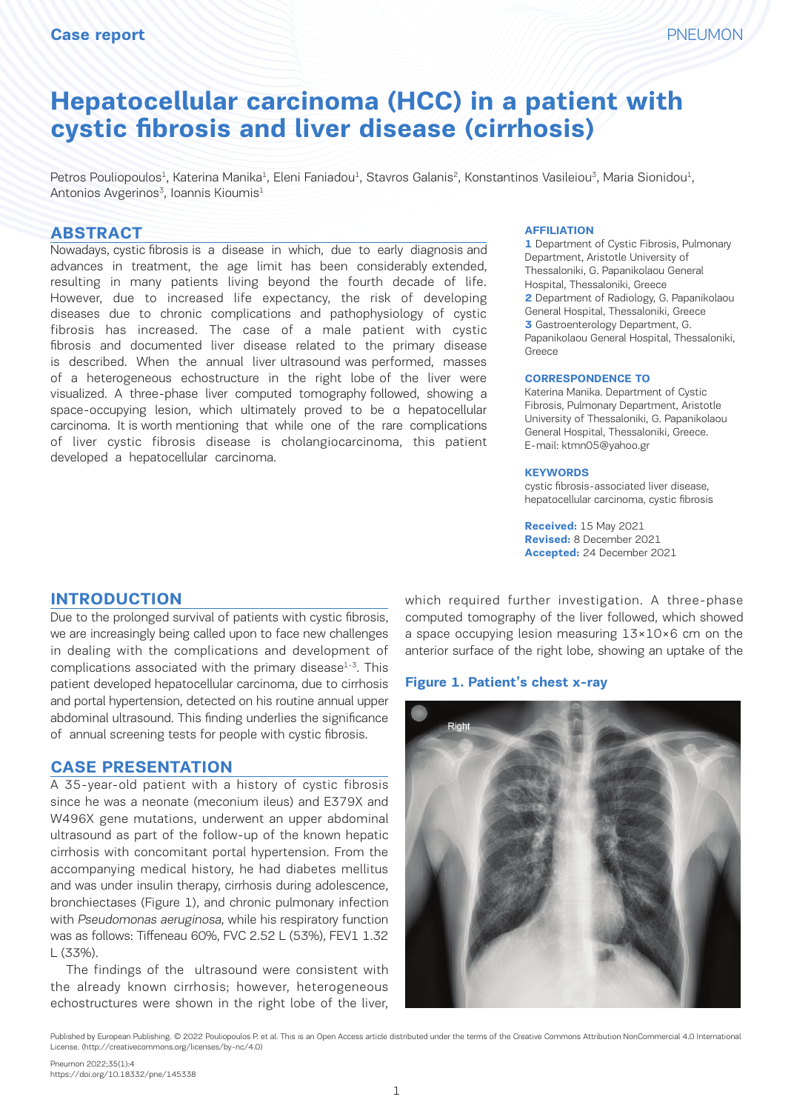# **Hepatocellular carcinoma (HCC) in a patient with cystic fibrosis and liver disease (cirrhosis)**

Petros Pouliopoulos<sup>1</sup>, Katerina Manika<sup>1</sup>, Eleni Faniadou<sup>1</sup>, Stavros Galanis<sup>2</sup>, Konstantinos Vasileiou<sup>3</sup>, Maria Sionidou<sup>1</sup>, Antonios Avgerinos<sup>3</sup>, Ioannis Kioumis<sup>1</sup>

#### **ABSTRACT**

Nowadays, cystic fibrosis is a disease in which, due to early diagnosis and advances in treatment, the age limit has been considerably extended, resulting in many patients living beyond the fourth decade of life. However, due to increased life expectancy, the risk of developing diseases due to chronic complications and pathophysiology of cystic fibrosis has increased. The case of a male patient with cystic fibrosis and documented liver disease related to the primary disease is described. When the annual liver ultrasound was performed, masses of a heterogeneous echostructure in the right lobe of the liver were visualized. A three-phase liver computed tomography followed, showing a space-occupying lesion, which ultimately proved to be α hepatocellular carcinoma. It is worth mentioning that while one of the rare complications of liver cystic fibrosis disease is cholangiocarcinoma, this patient developed a hepatocellular carcinoma.

#### **AFFILIATION**

**1** Department of Cystic Fibrosis, Pulmonary Department, Aristotle University of Thessaloniki, G. Papanikolaou General Hospital, Thessaloniki, Greece **2** Department of Radiology, G. Papanikolaou General Hospital, Thessaloniki, Greece **3** Gastroenterology Department, G. Papanikolaou General Hospital, Thessaloniki, Greece

#### **CORRESPONDENCE TO**

Katerina Manika. Department of Cystic Fibrosis, Pulmonary Department, Aristotle University of Thessaloniki, G. Papanikolaou General Hospital, Thessaloniki, Greece. E-mail: ktmn05@yahoo.gr

#### **KEYWORDS**

cystic fibrosis-associated liver disease, hepatocellular carcinoma, cystic fibrosis

**Received:** 15 May 2021 **Revised:** 8 December 2021 **Accepted:** 24 December 2021

## **INTRODUCTION**

Due to the prolonged survival of patients with cystic fibrosis, we are increasingly being called upon to face new challenges in dealing with the complications and development of complications associated with the primary disease $1-3$ . This patient developed hepatocellular carcinoma, due to cirrhosis and portal hypertension, detected on his routine annual upper abdominal ultrasound. This finding underlies the significance of annual screening tests for people with cystic fibrosis.

#### **CASE PRESENTATION**

A 35-year-old patient with a history of cystic fibrosis since he was a neonate (meconium ileus) and E379X and W496X gene mutations, underwent an upper abdominal ultrasound as part of the follow-up of the known hepatic cirrhosis with concomitant portal hypertension. From the accompanying medical history, he had diabetes mellitus and was under insulin therapy, cirrhosis during adolescence, bronchiectases (Figure 1), and chronic pulmonary infection with Pseudomonas aeruginosa, while his respiratory function was as follows: Tiffeneau 60%, FVC 2.52 L (53%), FEV1 1.32 L (33%).

The findings of the ultrasound were consistent with the already known cirrhosis; however, heterogeneous echostructures were shown in the right lobe of the liver,

which required further investigation. A three-phase computed tomography of the liver followed, which showed a space occupying lesion measuring 13×10×6 cm on the anterior surface of the right lobe, showing an uptake of the

#### **Figure 1. Patient's chest x-ray**



Published by European Publishing. © 2022 Pouliopoulos P. et al. This is an Open Access article distributed under the terms of the Creative Commons Attribution NonCommercial 4.0 International<br>License (http://creativecommons License. (http://creativecommons.org/licenses/by-nc/4.0)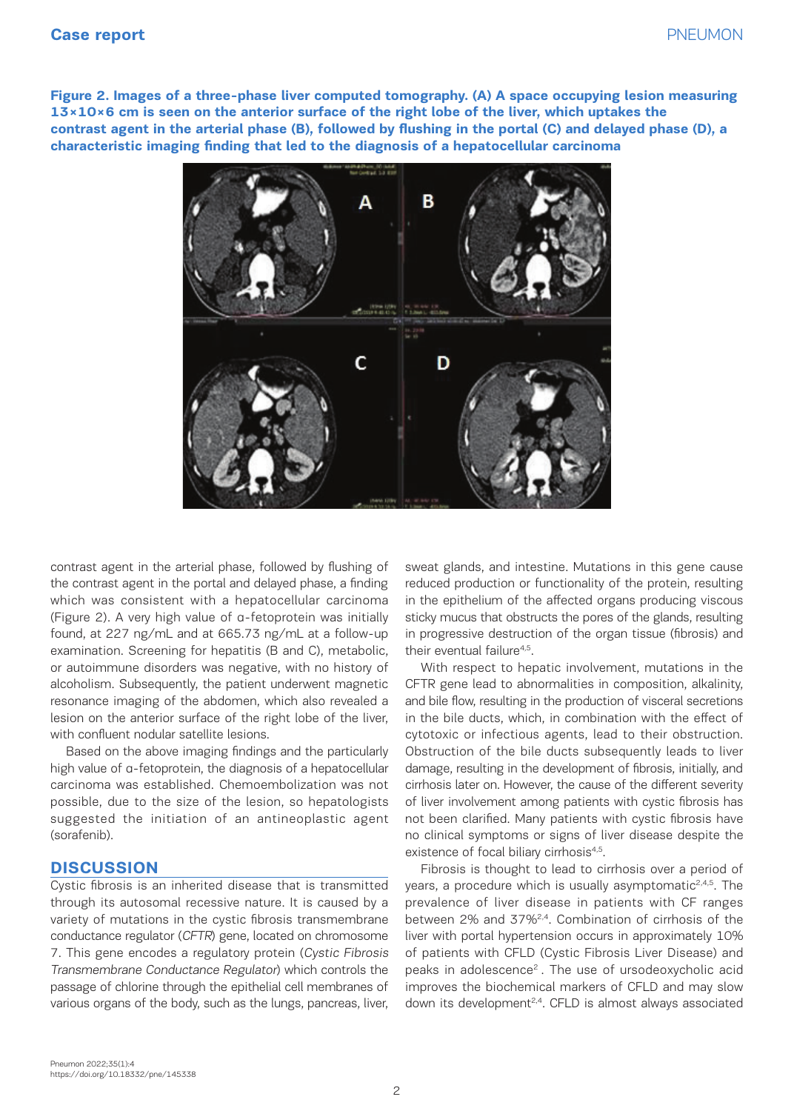**Figure 2. Images of a three-phase liver computed tomography. (Α) A space occupying lesion measuring 13×10×6 cm is seen on the anterior surface of the right lobe of the liver, which uptakes the contrast agent in the arterial phase (Β), followed by flushing in the portal (C) and delayed phase (D), a characteristic imaging finding that led to the diagnosis of a hepatocellular carcinoma**



contrast agent in the arterial phase, followed by flushing of the contrast agent in the portal and delayed phase, a finding which was consistent with a hepatocellular carcinoma (Figure 2). A very high value of α-fetoprotein was initially found, at 227 ng/mL and at 665.73 ng/mL at a follow-up examination. Screening for hepatitis (B and C), metabolic, their eventual failure<sup>4,5</sup>. or autoimmune disorders was negative, with no history of alcoholism. Subsequently, the patient underwent magnetic resonance imaging of the abdomen, which also revealed a lesion on the anterior surface of the right lobe of the liver, with confluent nodular satellite lesions.

Based on the above imaging findings and the particularly high value of α-fetoprotein, the diagnosis of a hepatocellular carcinoma was established. Chemoembolization was not cirring contract and contract of the soration of the sora<br>Contract of the social contract of the social contract of the social contract of the social contract of the so possible, due to the size of the lesion, so hepatologists suggested the initiation of an antineoplastic agent (sorafenib).

## **DISCUSSION**

Cystic fibrosis is an inherited disease that is transmitted through its autosomal recessive nature. It is caused by a variety of mutations in the cystic fibrosis transmembrane conductance regulator (CFTR) gene, located on chromosome 7. This gene encodes a regulatory protein (Cystic Fibrosis Transmembrane Conductance Regulator) which controls the passage of chlorine through the epithelial cell membranes of various organs of the body, such as the lungs, pancreas, liver,

sweat glands, and intestine. Mutations in this gene cause *occupying lesion measuring 13×10×6 cm is seen on the anterior surface of the right le* portal and delayed phase, a finding but reduced production or functionality of the protein, resulting in the contrast agents and  $\alpha$ in the epithelium of the affected organs producing viscous value of a-fetoprotein was initially sticky mucus that obstructs the pores of the glands, resulting in progressive destruction of the organ tissue (fibrosis) and their eventual failure<sup>4,5</sup>.

With respect to hepatic involvement, mutations in the CFTR gene lead to abnormalities in composition, alkalinity, the abdomen, which also revealed a and bile flow, resulting in the production of visceral secretions in the bile ducts, which, in combination with the effect of satellite lesions. The diagnosis of the cytotoxic or infectious agents, lead to their obstruction. Obstruction of the bile ducts subsequently leads to liver maging imaings and the particulary espectation of the site ducto capsequently teads to their<br>tein, the diagnosis of a hepatocellular damage, resulting in the development of fibrosis, initially, and cirrhosis later on. However, the cause of the different severity of liver involvement among patients with cystic fibrosis has not been clarified. Many patients with cystic fibrosis have no clinical symptoms or signs of liver disease despite the existence of focal biliary cirrhosis<sup>4,5</sup>.

Fibrosis is thought to lead to cirrhosis over a period of Infosis is a hought to tead to chrinosis over a period of herited disease that is transmitted years, a procedure which is usually asymptomatic<sup>2,4,5</sup>. The recessive nature. It is caused by a prevalence of liver disease in patients with CF ranges between 2% and 37%2,4. Combination of cirrhosis of the (CFTR) gene, located on chromosome liver with portal hypertension occurs in approximately 10% of patients with CFLD (Cystic Fibrosis Liver Disease) and experience *protein (cystic Fibrosis* Transmembrane Conductive *Coystic Fibrosis Liver Steedberg and* controls the peaks in adolescence<sup>2</sup>. The use of ursodeoxycholic acid improves the biochemical markers of CFLD and may slow ough the epithelial cell membranes of thinproves the biochemical markers of CFLD and may slow<br>pdy, such as the lungs, pancreas, liver, t down its development<sup>2,4</sup>. CFLD is almost always associated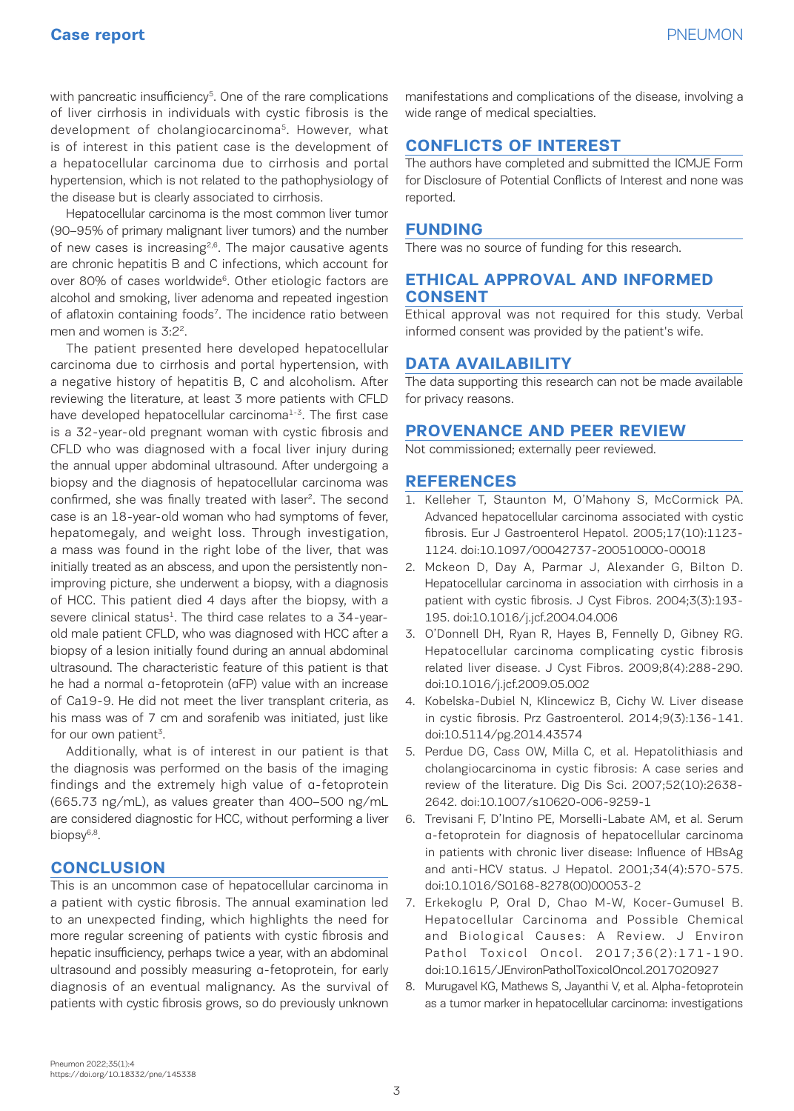with pancreatic insufficiency<sup>5</sup>. One of the rare complications of liver cirrhosis in individuals with cystic fibrosis is the development of cholangiocarcinoma<sup>5</sup>. However, what is of interest in this patient case is the development of a hepatocellular carcinoma due to cirrhosis and portal hypertension, which is not related to the pathophysiology of the disease but is clearly associated to cirrhosis.

Hepatocellular carcinoma is the most common liver tumor (90–95% of primary malignant liver tumors) and the number of new cases is increasing<sup>2,6</sup>. The major causative agents are chronic hepatitis B and C infections, which account for over 80% of cases worldwide<sup>6</sup>. Other etiologic factors are alcohol and smoking, liver adenoma and repeated ingestion of aflatoxin containing foods<sup>7</sup>. The incidence ratio between men and women is 3:2<sup>2</sup>.

The patient presented here developed hepatocellular carcinoma due to cirrhosis and portal hypertension, with a negative history of hepatitis B, C and alcoholism. After reviewing the literature, at least 3 more patients with CFLD have developed hepatocellular carcinoma<sup>1-3</sup>. The first case is a 32-year-old pregnant woman with cystic fibrosis and CFLD who was diagnosed with a focal liver injury during the annual upper abdominal ultrasound. After undergoing a biopsy and the diagnosis of hepatocellular carcinoma was confirmed, she was finally treated with laser<sup>2</sup>. The second case is an 18-year-old woman who had symptoms of fever, hepatomegaly, and weight loss. Through investigation, a mass was found in the right lobe of the liver, that was initially treated as an abscess, and upon the persistently nonimproving picture, she underwent a biopsy, with a diagnosis of HCC. This patient died 4 days after the biopsy, with a severe clinical status<sup>1</sup>. The third case relates to a 34-yearold male patient CFLD, who was diagnosed with HCC after a biopsy of a lesion initially found during an annual abdominal ultrasound. The characteristic feature of this patient is that he had a normal α-fetoprotein (αFP) value with an increase of Ca19-9. He did not meet the liver transplant criteria, as his mass was of 7 cm and sorafenib was initiated, just like for our own patient<sup>3</sup>.

Additionally, what is of interest in our patient is that the diagnosis was performed on the basis of the imaging findings and the extremely high value of α-fetoprotein (665.73 ng/mL), as values greater than 400–500 ng/mL are considered diagnostic for HCC, without performing a liver biopsy<sup>6,8</sup>.

## **CONCLUSION**

This is an uncommon case of hepatocellular carcinoma in a patient with cystic fibrosis. The annual examination led to an unexpected finding, which highlights the need for more regular screening of patients with cystic fibrosis and hepatic insufficiency, perhaps twice a year, with an abdominal ultrasound and possibly measuring α-fetoprotein, for early diagnosis of an eventual malignancy. As the survival of patients with cystic fibrosis grows, so do previously unknown

manifestations and complications of the disease, involving a wide range of medical specialties.

## **CONFLICTS OF INTEREST**

The authors have completed and submitted the ICMJE Form for Disclosure of Potential Conflicts of Interest and none was reported.

#### **FUNDING**

There was no source of funding for this research.

#### **ETHICAL APPROVAL AND INFORMED CONSENT**

Ethical approval was not required for this study. Verbal informed consent was provided by the patient's wife.

## **DATA AVAILABILITY**

The data supporting this research can not be made available for privacy reasons.

## **PROVENANCE AND PEER REVIEW**

Not commissioned; externally peer reviewed.

#### **REFERENCES**

- 1. Kelleher T, Staunton M, O'Mahony S, McCormick PA. Advanced hepatocellular carcinoma associated with cystic fibrosis. Eur J Gastroenterol Hepatol. 2005;17(10):1123- 1124. doi:10.1097/00042737-200510000-00018
- 2. Mckeon D, Day A, Parmar J, Alexander G, Bilton D. Hepatocellular carcinoma in association with cirrhosis in a patient with cystic fibrosis. J Cyst Fibros. 2004;3(3):193- 195. doi:10.1016/j.jcf.2004.04.006
- 3. O'Donnell DH, Ryan R, Hayes B, Fennelly D, Gibney RG. Hepatocellular carcinoma complicating cystic fibrosis related liver disease. J Cyst Fibros. 2009;8(4):288-290. doi:10.1016/j.jcf.2009.05.002
- 4. Kobelska-Dubiel N, Klincewicz B, Cichy W. Liver disease in cystic fibrosis. Prz Gastroenterol. 2014;9(3):136-141. doi:10.5114/pg.2014.43574
- 5. Perdue DG, Cass OW, Milla C, et al. Hepatolithiasis and cholangiocarcinoma in cystic fibrosis: A case series and review of the literature. Dig Dis Sci. 2007;52(10):2638- 2642. doi:10.1007/s10620-006-9259-1
- 6. Trevisani F, D'Intino PE, Morselli-Labate AM, et al. Serum α-fetoprotein for diagnosis of hepatocellular carcinoma in patients with chronic liver disease: Influence of HBsAg and anti-HCV status. J Hepatol. 2001;34(4):570-575. doi:10.1016/S0168-8278(00)00053-2
- 7. Erkekoglu P, Oral D, Chao M-W, Kocer-Gumusel B. Hepatocellular Carcinoma and Possible Chemical and Biological Causes: A Review. J Environ Pathol Toxicol Oncol. 2017;36(2):171-190. doi:10.1615/JEnvironPatholToxicolOncol.2017020927
- 8. Murugavel KG, Mathews S, Jayanthi V, et al. Alpha-fetoprotein as a tumor marker in hepatocellular carcinoma: investigations